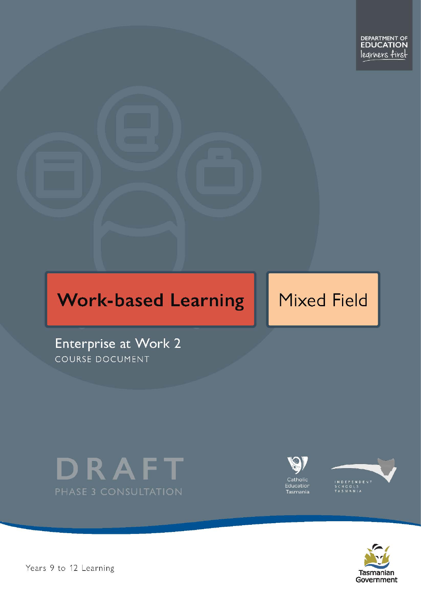# **Work-based Learning**

# **Mixed Field**

Enterprise at Work 2 COURSE DOCUMENT







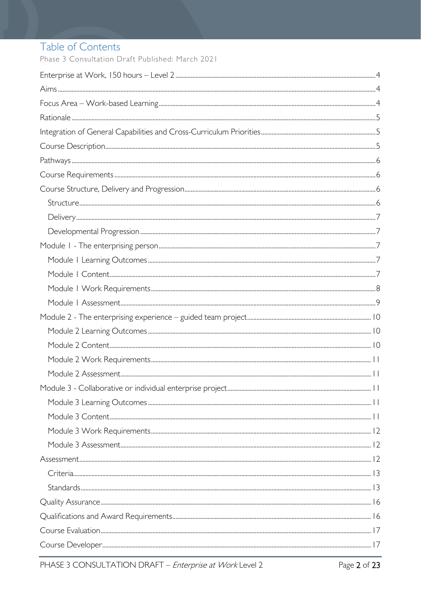# Table of Contents

Phase 3 Consultation Draft Published: March 2021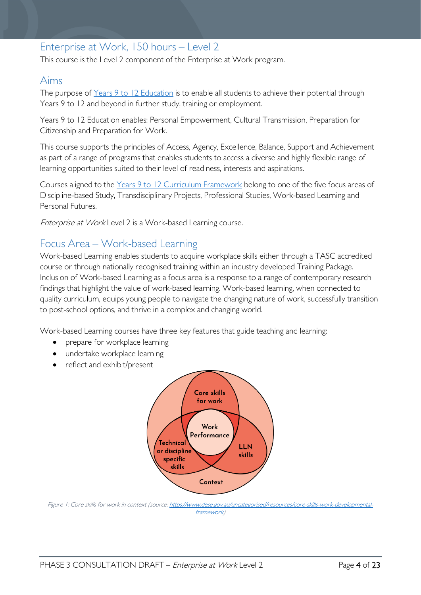### <span id="page-3-0"></span>Enterprise at Work, 150 hours – Level 2

This course is the Level 2 component of the Enterprise at Work program.

### <span id="page-3-1"></span>Aims

The purpose of Years 9 to 12 [Education](https://publicdocumentcentre.education.tas.gov.au/library/Shared%20Documents/Years-9-to-12-Education-Framework.pdf) is to enable all students to achieve their potential through Years 9 to 12 and beyond in further study, training or employment.

Years 9 to 12 Education enables: Personal Empowerment, Cultural Transmission, Preparation for Citizenship and Preparation for Work.

This course supports the principles of Access, Agency, Excellence, Balance, Support and Achievement as part of a range of programs that enables students to access a diverse and highly flexible range of learning opportunities suited to their level of readiness, interests and aspirations.

Courses aligned to the Years 9 to 12 Curriculum [Framework](https://publicdocumentcentre.education.tas.gov.au/library/Shared%20Documents/Education%209-12%20Frameworks%20A3%20WEB%20POSTER.pdf) belong to one of the five focus areas of Discipline-based Study, Transdisciplinary Projects, Professional Studies, Work-based Learning and Personal Futures.

Enterprise at Work Level 2 is a Work-based Learning course.

## <span id="page-3-2"></span>Focus Area – Work-based Learning

Work-based Learning enables students to acquire workplace skills either through a TASC accredited course or through nationally recognised training within an industry developed Training Package. Inclusion of Work-based Learning as a focus area is a response to a range of contemporary research findings that highlight the value of work-based learning. Work-based learning, when connected to quality curriculum, equips young people to navigate the changing nature of work, successfully transition to post-school options, and thrive in a complex and changing world.

Work-based Learning courses have three key features that guide teaching and learning:

- prepare for workplace learning
- undertake workplace learning
- reflect and exhibit/present



Figure 1: Core skills for work in context (source[: https://www.dese.gov.au/uncategorised/resources/core-skills-work-developmental](https://www.dese.gov.au/uncategorised/resources/core-skills-work-developmental-framework)[framework\)](https://www.dese.gov.au/uncategorised/resources/core-skills-work-developmental-framework)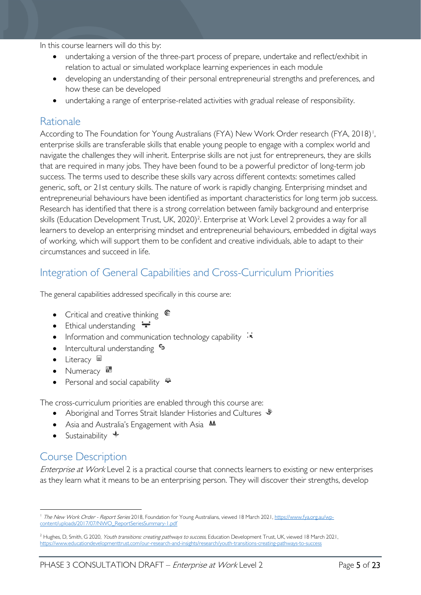In this course learners will do this by:

- undertaking a version of the three-part process of prepare, undertake and reflect/exhibit in relation to actual or simulated workplace learning experiences in each module
- developing an understanding of their personal entrepreneurial strengths and preferences, and how these can be developed
- undertaking a range of enterprise-related activities with gradual release of responsibility.

# <span id="page-4-0"></span>Rationale

According to The Foundation for Young Australians (FYA) New Work Order research (FYA, 20[1](#page-4-3)8)<sup>1</sup>, enterprise skills are transferable skills that enable young people to engage with a complex world and navigate the challenges they will inherit. Enterprise skills are not just for entrepreneurs, they are skills that are required in many jobs. They have been found to be a powerful predictor of long-term job success. The terms used to describe these skills vary across different contexts: sometimes called generic, soft, or 21st century skills. The nature of work is rapidly changing. Enterprising mindset and entrepreneurial behaviours have been identified as important characteristics for long term job success. Research has identified that there is a strong correlation between family background and enterprise skills (Education Development Trust, UK, 2020)<sup>2</sup>. Enterprise at Work Level 2 provides a way for all learners to develop an enterprising mindset and entrepreneurial behaviours, embedded in digital ways of working, which will support them to be confident and creative individuals, able to adapt to their circumstances and succeed in life.

# <span id="page-4-1"></span>Integration of General Capabilities and Cross-Curriculum Priorities

The general capabilities addressed specifically in this course are:

- Critical and creative thinking  $\epsilon$
- Ethical understanding  $\div$
- Information and communication technology capability  $\cdot \star$
- Intercultural understanding  $\frac{c_3}{ }$
- Literacy  $\blacksquare$
- Numeracy
- Personal and social capability  $\ddot{\ddot{}}$

The cross-curriculum priorities are enabled through this course are:

- Aboriginal and Torres Strait Islander Histories and Cultures  $\mathcal$
- Asia and Australia's Engagement with Asia AA
- Sustainability  $\triangleleft$

# <span id="page-4-2"></span>Course Description

Enterprise at Work Level 2 is a practical course that connects learners to existing or new enterprises as they learn what it means to be an enterprising person. They will discover their strengths, develop

<span id="page-4-3"></span><sup>&</sup>lt;sup>1</sup> The New Work Order - Report Series 2018, Foundation for Young Australians, viewed 18 March 2021[, https://www.fya.org.au/wp](https://www.fya.org.au/wp-content/uploads/2017/07/NWO_ReportSeriesSummary-1.pdf)[content/uploads/2017/07/NWO\\_ReportSeriesSummary-1.pdf](https://www.fya.org.au/wp-content/uploads/2017/07/NWO_ReportSeriesSummary-1.pdf) 

<span id="page-4-4"></span><sup>&</sup>lt;sup>2</sup> Hughes, D, Smith, G 2020, Youth transitions: creating pathways to success, Education Development Trust, UK, viewed 18 March 2021, <https://www.educationdevelopmenttrust.com/our-research-and-insights/research/youth-transitions-creating-pathways-to-success>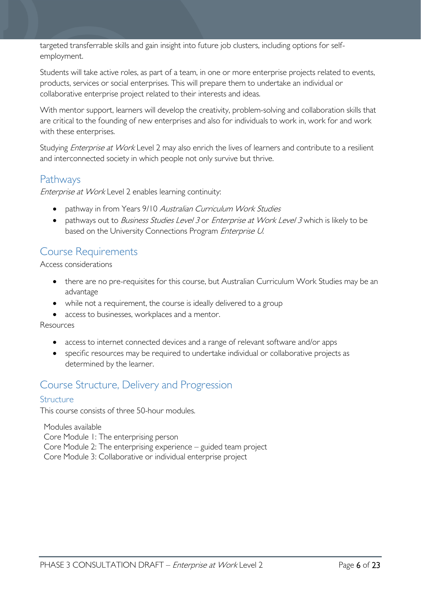targeted transferrable skills and gain insight into future job clusters, including options for selfemployment.

Students will take active roles, as part of a team, in one or more enterprise projects related to events, products, services or social enterprises. This will prepare them to undertake an individual or collaborative enterprise project related to their interests and ideas.

With mentor support, learners will develop the creativity, problem-solving and collaboration skills that are critical to the founding of new enterprises and also for individuals to work in, work for and work with these enterprises.

Studying *Enterprise at Work* Level 2 may also enrich the lives of learners and contribute to a resilient and interconnected society in which people not only survive but thrive.

### <span id="page-5-0"></span>**Pathways**

Enterprise at Work Level 2 enables learning continuity:

- pathway in from Years 9/10 Australian Curriculum Work Studies
- pathways out to *Business Studies Level 3* or *Enterprise at Work Level 3* which is likely to be based on the University Connections Program Enterprise U.

# <span id="page-5-1"></span>Course Requirements

Access considerations

- there are no pre-requisites for this course, but Australian Curriculum Work Studies may be an advantage
- while not a requirement, the course is ideally delivered to a group
- access to businesses, workplaces and a mentor.

Resources

- access to internet connected devices and a range of relevant software and/or apps
- specific resources may be required to undertake individual or collaborative projects as determined by the learner.

# <span id="page-5-2"></span>Course Structure, Delivery and Progression

#### <span id="page-5-3"></span>**Structure**

This course consists of three 50-hour modules.

Modules available Core Module 1: The enterprising person Core Module 2: The enterprising experience – guided team project Core Module 3: Collaborative or individual enterprise project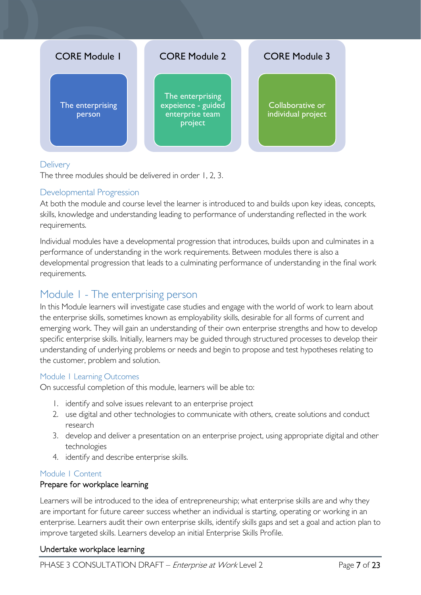

#### <span id="page-6-0"></span>**Delivery**

The three modules should be delivered in order 1, 2, 3.

#### <span id="page-6-1"></span>Developmental Progression

At both the module and course level the learner is introduced to and builds upon key ideas, concepts, skills, knowledge and understanding leading to performance of understanding reflected in the work requirements.

Individual modules have a developmental progression that introduces, builds upon and culminates in a performance of understanding in the work requirements. Between modules there is also a developmental progression that leads to a culminating performance of understanding in the final work requirements.

### <span id="page-6-2"></span>Module 1 - The enterprising person

In this Module learners will investigate case studies and engage with the world of work to learn about the enterprise skills, sometimes known as employability skills, desirable for all forms of current and emerging work. They will gain an understanding of their own enterprise strengths and how to develop specific enterprise skills. Initially, learners may be guided through structured processes to develop their understanding of underlying problems or needs and begin to propose and test hypotheses relating to the customer, problem and solution.

#### <span id="page-6-3"></span>Module 1 Learning Outcomes

On successful completion of this module, learners will be able to:

- 1. identify and solve issues relevant to an enterprise project
- 2. use digital and other technologies to communicate with others, create solutions and conduct research
- 3. develop and deliver a presentation on an enterprise project, using appropriate digital and other technologies
- 4. identify and describe enterprise skills.

#### <span id="page-6-4"></span>Module 1 Content

#### Prepare for workplace learning

Learners will be introduced to the idea of entrepreneurship; what enterprise skills are and why they are important for future career success whether an individual is starting, operating or working in an enterprise. Learners audit their own enterprise skills, identify skills gaps and set a goal and action plan to improve targeted skills. Learners develop an initial Enterprise Skills Profile.

#### Undertake workplace learning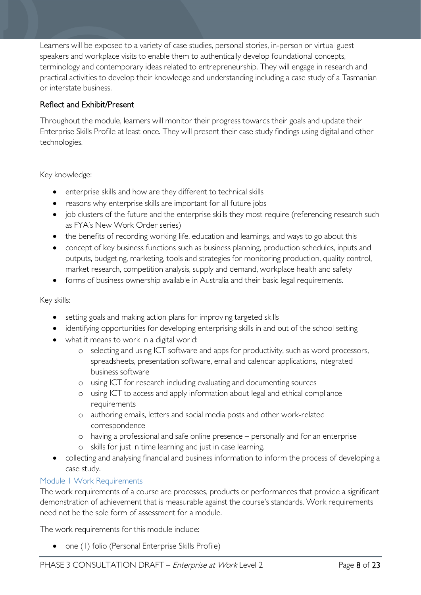Learners will be exposed to a variety of case studies, personal stories, in-person or virtual guest speakers and workplace visits to enable them to authentically develop foundational concepts, terminology and contemporary ideas related to entrepreneurship. They will engage in research and practical activities to develop their knowledge and understanding including a case study of a Tasmanian or interstate business.

### Reflect and Exhibit/Present

Throughout the module, learners will monitor their progress towards their goals and update their Enterprise Skills Profile at least once. They will present their case study findings using digital and other technologies.

Key knowledge:

- enterprise skills and how are they different to technical skills
- reasons why enterprise skills are important for all future jobs
- job clusters of the future and the enterprise skills they most require (referencing research such as FYA's New Work Order series)
- the benefits of recording working life, education and learnings, and ways to go about this
- concept of key business functions such as business planning, production schedules, inputs and outputs, budgeting, marketing, tools and strategies for monitoring production, quality control, market research, competition analysis, supply and demand, workplace health and safety
- forms of business ownership available in Australia and their basic legal requirements.

#### Key skills:

- setting goals and making action plans for improving targeted skills
- identifying opportunities for developing enterprising skills in and out of the school setting
- what it means to work in a digital world:
	- o selecting and using ICT software and apps for productivity, such as word processors, spreadsheets, presentation software, email and calendar applications, integrated business software
	- o using ICT for research including evaluating and documenting sources
	- o using ICT to access and apply information about legal and ethical compliance requirements
	- o authoring emails, letters and social media posts and other work-related correspondence
	- o having a professional and safe online presence personally and for an enterprise
	- o skills for just in time learning and just in case learning.
- collecting and analysing financial and business information to inform the process of developing a case study.

#### <span id="page-7-0"></span>Module 1 Work Requirements

The work requirements of a course are processes, products or performances that provide a significant demonstration of achievement that is measurable against the course's standards. Work requirements need not be the sole form of assessment for a module.

The work requirements for this module include:

• one (1) folio (Personal Enterprise Skills Profile)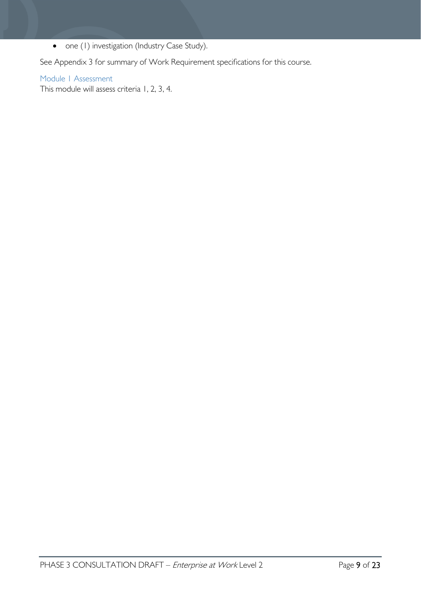• one (1) investigation (Industry Case Study).

See Appendix 3 for summary of Work Requirement specifications for this course.

#### <span id="page-8-0"></span>Module 1 Assessment

This module will assess criteria 1, 2, 3, 4.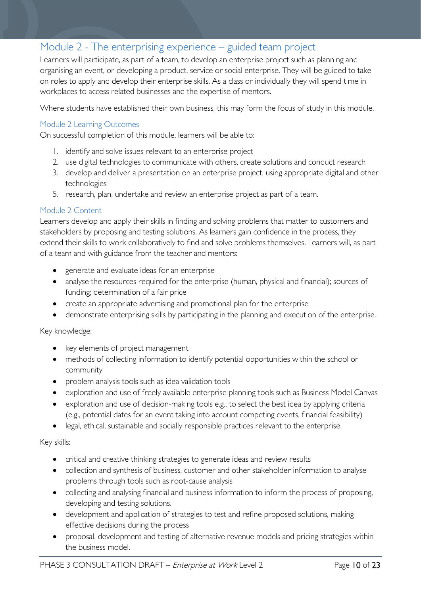## <span id="page-9-0"></span>Module 2 - The enterprising experience – guided team project

Learners will participate, as part of a team, to develop an enterprise project such as planning and organising an event, or developing a product, service or social enterprise. They will be guided to take on roles to apply and develop their enterprise skills. As a class or individually they will spend time in workplaces to access related businesses and the expertise of mentors.

Where students have established their own business, this may form the focus of study in this module.

#### <span id="page-9-1"></span>Module 2 Learning Outcomes

On successful completion of this module, learners will be able to:

- 1. identify and solve issues relevant to an enterprise project
- 2. use digital technologies to communicate with others, create solutions and conduct research
- 3. develop and deliver a presentation on an enterprise project, using appropriate digital and other technologies
- 5. research, plan, undertake and review an enterprise project as part of a team.

#### <span id="page-9-2"></span>Module 2 Content

Learners develop and apply their skills in finding and solving problems that matter to customers and stakeholders by proposing and testing solutions. As learners gain confidence in the process, they extend their skills to work collaboratively to find and solve problems themselves. Learners will, as part of a team and with guidance from the teacher and mentors:

- generate and evaluate ideas for an enterprise
- analyse the resources required for the enterprise (human, physical and financial); sources of funding; determination of a fair price
- create an appropriate advertising and promotional plan for the enterprise
- demonstrate enterprising skills by participating in the planning and execution of the enterprise.

#### Key knowledge:

- key elements of project management
- methods of collecting information to identify potential opportunities within the school or community
- problem analysis tools such as idea validation tools
- exploration and use of freely available enterprise planning tools such as Business Model Canvas
- exploration and use of decision-making tools e.g., to select the best idea by applying criteria (e.g., potential dates for an event taking into account competing events, financial feasibility)
- legal, ethical, sustainable and socially responsible practices relevant to the enterprise.

#### Key skills:

- critical and creative thinking strategies to generate ideas and review results
- collection and synthesis of business, customer and other stakeholder information to analyse problems through tools such as root-cause analysis
- collecting and analysing financial and business information to inform the process of proposing, developing and testing solutions.
- development and application of strategies to test and refine proposed solutions, making effective decisions during the process
- proposal, development and testing of alternative revenue models and pricing strategies within the business model.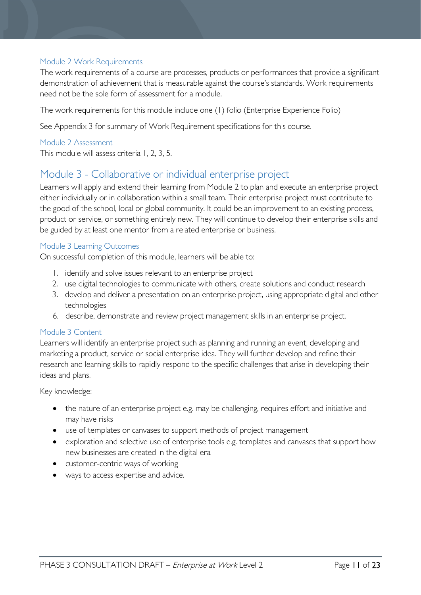### <span id="page-10-0"></span>Module 2 Work Requirements

The work requirements of a course are processes, products or performances that provide a significant demonstration of achievement that is measurable against the course's standards. Work requirements need not be the sole form of assessment for a module.

The work requirements for this module include one (1) folio (Enterprise Experience Folio)

See Appendix 3 for summary of Work Requirement specifications for this course.

#### <span id="page-10-1"></span>Module 2 Assessment

This module will assess criteria 1, 2, 3, 5.

### <span id="page-10-2"></span>Module 3 - Collaborative or individual enterprise project

Learners will apply and extend their learning from Module 2 to plan and execute an enterprise project either individually or in collaboration within a small team. Their enterprise project must contribute to the good of the school, local or global community. It could be an improvement to an existing process, product or service, or something entirely new. They will continue to develop their enterprise skills and be guided by at least one mentor from a related enterprise or business.

#### <span id="page-10-3"></span>Module 3 Learning Outcomes

On successful completion of this module, learners will be able to:

- 1. identify and solve issues relevant to an enterprise project
- 2. use digital technologies to communicate with others, create solutions and conduct research
- 3. develop and deliver a presentation on an enterprise project, using appropriate digital and other technologies
- 6. describe, demonstrate and review project management skills in an enterprise project.

#### <span id="page-10-4"></span>Module 3 Content

Learners will identify an enterprise project such as planning and running an event, developing and marketing a product, service or social enterprise idea. They will further develop and refine their research and learning skills to rapidly respond to the specific challenges that arise in developing their ideas and plans.

#### Key knowledge:

- the nature of an enterprise project e.g. may be challenging, requires effort and initiative and may have risks
- use of templates or canvases to support methods of project management
- exploration and selective use of enterprise tools e.g. templates and canvases that support how new businesses are created in the digital era
- customer-centric ways of working
- ways to access expertise and advice.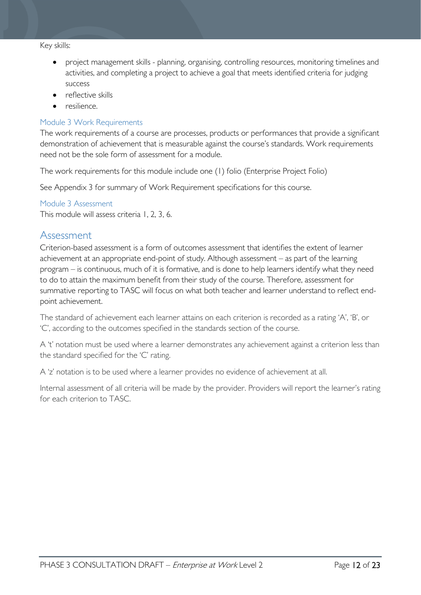#### Key skills:

- project management skills planning, organising, controlling resources, monitoring timelines and activities, and completing a project to achieve a goal that meets identified criteria for judging success
- reflective skills
- resilience.

#### <span id="page-11-0"></span>Module 3 Work Requirements

The work requirements of a course are processes, products or performances that provide a significant demonstration of achievement that is measurable against the course's standards. Work requirements need not be the sole form of assessment for a module.

The work requirements for this module include one (1) folio (Enterprise Project Folio)

See Appendix 3 for summary of Work Requirement specifications for this course.

#### <span id="page-11-1"></span>Module 3 Assessment

This module will assess criteria 1, 2, 3, 6.

### <span id="page-11-2"></span>Assessment

Criterion-based assessment is a form of outcomes assessment that identifies the extent of learner achievement at an appropriate end-point of study. Although assessment – as part of the learning program – is continuous, much of it is formative, and is done to help learners identify what they need to do to attain the maximum benefit from their study of the course. Therefore, assessment for summative reporting to TASC will focus on what both teacher and learner understand to reflect endpoint achievement.

The standard of achievement each learner attains on each criterion is recorded as a rating 'A', 'B', or 'C', according to the outcomes specified in the standards section of the course.

A 't' notation must be used where a learner demonstrates any achievement against a criterion less than the standard specified for the 'C' rating.

A 'z' notation is to be used where a learner provides no evidence of achievement at all.

Internal assessment of all criteria will be made by the provider. Providers will report the learner's rating for each criterion to TASC.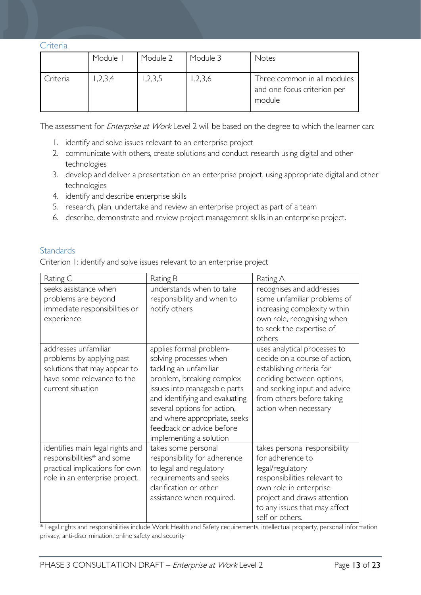<span id="page-12-0"></span>

| ↩ | ÷r. |  |
|---|-----|--|
|   |     |  |

|          | Module I | Module 2 | Module 3 | Notes                                                                |
|----------|----------|----------|----------|----------------------------------------------------------------------|
| Criteria | 1,2,3,4  | 1,2,3,5  | ,2,3,6   | Three common in all modules<br>and one focus criterion per<br>module |

The assessment for *Enterprise at Work* Level 2 will be based on the degree to which the learner can:

- 1. identify and solve issues relevant to an enterprise project
- 2. communicate with others, create solutions and conduct research using digital and other technologies
- 3. develop and deliver a presentation on an enterprise project, using appropriate digital and other technologies
- 4. identify and describe enterprise skills
- 5. research, plan, undertake and review an enterprise project as part of a team
- 6. describe, demonstrate and review project management skills in an enterprise project.

#### <span id="page-12-1"></span>**Standards**

Criterion 1: identify and solve issues relevant to an enterprise project

| Rating C                                                                                                                             | Rating B                                                                                                                                                                                                                                                                                          | Rating A                                                                                                                                                                                                           |
|--------------------------------------------------------------------------------------------------------------------------------------|---------------------------------------------------------------------------------------------------------------------------------------------------------------------------------------------------------------------------------------------------------------------------------------------------|--------------------------------------------------------------------------------------------------------------------------------------------------------------------------------------------------------------------|
| seeks assistance when<br>problems are beyond<br>immediate responsibilities or<br>experience                                          | understands when to take<br>responsibility and when to<br>notify others                                                                                                                                                                                                                           | recognises and addresses<br>some unfamiliar problems of<br>increasing complexity within<br>own role, recognising when<br>to seek the expertise of<br>others                                                        |
| addresses unfamiliar<br>problems by applying past<br>solutions that may appear to<br>have some relevance to the<br>current situation | applies formal problem-<br>solving processes when<br>tackling an unfamiliar<br>problem, breaking complex<br>issues into manageable parts<br>and identifying and evaluating<br>several options for action,<br>and where appropriate, seeks<br>feedback or advice before<br>implementing a solution | uses analytical processes to<br>decide on a course of action,<br>establishing criteria for<br>deciding between options,<br>and seeking input and advice<br>from others before taking<br>action when necessary      |
| identifies main legal rights and<br>responsibilities* and some<br>practical implications for own<br>role in an enterprise project.   | takes some personal<br>responsibility for adherence<br>to legal and regulatory<br>requirements and seeks<br>clarification or other<br>assistance when required.                                                                                                                                   | takes personal responsibility<br>for adherence to<br>legal/regulatory<br>responsibilities relevant to<br>own role in enterprise<br>project and draws attention<br>to any issues that may affect<br>self or others. |

\* Legal rights and responsibilities include Work Health and Safety requirements, intellectual property, personal information privacy, anti-discrimination, online safety and security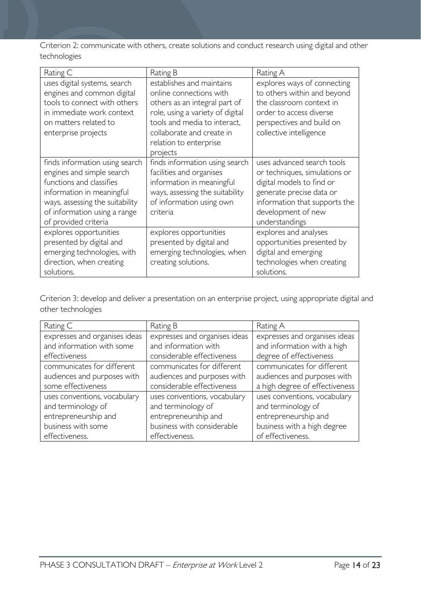Criterion 2: communicate with others, create solutions and conduct research using digital and other technologies

| Rating C                                                                                                                                                                                                        | Rating B                                                                                                                                                                                                                     | Rating A                                                                                                                                                                                      |
|-----------------------------------------------------------------------------------------------------------------------------------------------------------------------------------------------------------------|------------------------------------------------------------------------------------------------------------------------------------------------------------------------------------------------------------------------------|-----------------------------------------------------------------------------------------------------------------------------------------------------------------------------------------------|
| uses digital systems, search<br>engines and common digital<br>tools to connect with others<br>in immediate work context<br>on matters related to<br>enterprise projects                                         | establishes and maintains<br>online connections with<br>others as an integral part of<br>role, using a variety of digital<br>tools and media to interact,<br>collaborate and create in<br>relation to enterprise<br>projects | explores ways of connecting<br>to others within and beyond<br>the classroom context in<br>order to access diverse<br>perspectives and build on<br>collective intelligence                     |
| finds information using search<br>engines and simple search<br>functions and classifies<br>information in meaningful<br>ways, assessing the suitability<br>of information using a range<br>of provided criteria | finds information using search<br>facilities and organises<br>information in meaningful<br>ways, assessing the suitability<br>of information using own<br>criteria                                                           | uses advanced search tools<br>or techniques, simulations or<br>digital models to find or<br>generate precise data or<br>information that supports the<br>development of new<br>understandings |
| explores opportunities<br>presented by digital and<br>emerging technologies, with<br>direction, when creating<br>solutions.                                                                                     | explores opportunities<br>presented by digital and<br>emerging technologies, when<br>creating solutions.                                                                                                                     | explores and analyses<br>opportunities presented by<br>digital and emerging<br>technologies when creating<br>solutions.                                                                       |

Criterion 3: develop and deliver a presentation on an enterprise project, using appropriate digital and other technologies

| Rating C                      | Rating B                      | Rating A                       |
|-------------------------------|-------------------------------|--------------------------------|
| expresses and organises ideas | expresses and organises ideas | expresses and organises ideas  |
| and information with some     | and information with          | and information with a high    |
| effectiveness                 | considerable effectiveness    | degree of effectiveness        |
| communicates for different    | communicates for different    | communicates for different     |
| audiences and purposes with   | audiences and purposes with   | audiences and purposes with    |
| some effectiveness            | considerable effectiveness    | a high degree of effectiveness |
| uses conventions, vocabulary  | uses conventions, vocabulary  | uses conventions, vocabulary   |
| and terminology of            | and terminology of            | and terminology of             |
| entrepreneurship and          | entrepreneurship and          | entrepreneurship and           |
| business with some            | business with considerable    | business with a high degree    |
| effectiveness.                | effectiveness.                | of effectiveness.              |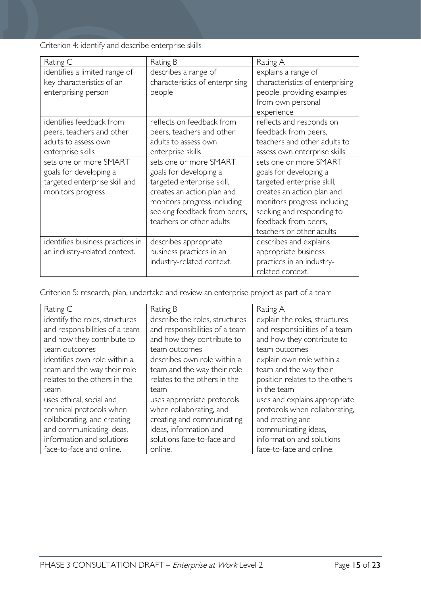Criterion 4: identify and describe enterprise skills

| Rating C                         | Rating B                        | Rating A                        |
|----------------------------------|---------------------------------|---------------------------------|
| identifies a limited range of    | describes a range of            | explains a range of             |
| key characteristics of an        | characteristics of enterprising | characteristics of enterprising |
| enterprising person              | people                          | people, providing examples      |
|                                  |                                 | from own personal               |
|                                  |                                 | experience                      |
| identifies feedback from         | reflects on feedback from       | reflects and responds on        |
| peers, teachers and other        | peers, teachers and other       | feedback from peers,            |
| adults to assess own             | adults to assess own            | teachers and other adults to    |
| enterprise skills                | enterprise skills               | assess own enterprise skills    |
| sets one or more SMART           | sets one or more SMART          | sets one or more SMART          |
| goals for developing a           | goals for developing a          | goals for developing a          |
| targeted enterprise skill and    | targeted enterprise skill,      | targeted enterprise skill,      |
| monitors progress                | creates an action plan and      | creates an action plan and      |
|                                  | monitors progress including     | monitors progress including     |
|                                  | seeking feedback from peers,    | seeking and responding to       |
|                                  | teachers or other adults        | feedback from peers,            |
|                                  |                                 | teachers or other adults        |
| identifies business practices in | describes appropriate           | describes and explains          |
| an industry-related context.     | business practices in an        | appropriate business            |
|                                  | industry-related context.       | practices in an industry-       |
|                                  |                                 | related context.                |

Criterion 5: research, plan, undertake and review an enterprise project as part of a team

| Rating C                       | Rating B                       | Rating A                       |
|--------------------------------|--------------------------------|--------------------------------|
| identify the roles, structures | describe the roles, structures | explain the roles, structures  |
| and responsibilities of a team | and responsibilities of a team | and responsibilities of a team |
| and how they contribute to     | and how they contribute to     | and how they contribute to     |
| team outcomes                  | team outcomes                  | team outcomes                  |
| identifies own role within a   | describes own role within a    | explain own role within a      |
| team and the way their role    | team and the way their role    | team and the way their         |
| relates to the others in the   | relates to the others in the   | position relates to the others |
| team                           | team                           | in the team                    |
| uses ethical, social and       | uses appropriate protocols     | uses and explains appropriate  |
| technical protocols when       | when collaborating, and        | protocols when collaborating,  |
| collaborating, and creating    | creating and communicating     | and creating and               |
| and communicating ideas,       | ideas, information and         | communicating ideas,           |
| information and solutions      | solutions face-to-face and     | information and solutions      |
| face-to-face and online.       | online.                        | face-to-face and online.       |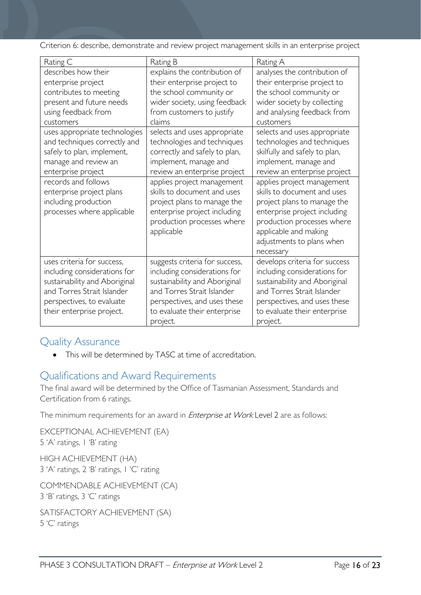Criterion 6: describe, demonstrate and review project management skills in an enterprise project

| Rating C                                                                                                                                                                            | Rating B                                                                                                                                                                                                  | Rating A                                                                                                                                                                                                                  |
|-------------------------------------------------------------------------------------------------------------------------------------------------------------------------------------|-----------------------------------------------------------------------------------------------------------------------------------------------------------------------------------------------------------|---------------------------------------------------------------------------------------------------------------------------------------------------------------------------------------------------------------------------|
| describes how their                                                                                                                                                                 | explains the contribution of                                                                                                                                                                              | analyses the contribution of                                                                                                                                                                                              |
| enterprise project                                                                                                                                                                  | their enterprise project to                                                                                                                                                                               | their enterprise project to                                                                                                                                                                                               |
| contributes to meeting                                                                                                                                                              | the school community or                                                                                                                                                                                   | the school community or                                                                                                                                                                                                   |
| present and future needs                                                                                                                                                            | wider society, using feedback                                                                                                                                                                             | wider society by collecting                                                                                                                                                                                               |
| using feedback from                                                                                                                                                                 | from customers to justify                                                                                                                                                                                 | and analysing feedback from                                                                                                                                                                                               |
| customers                                                                                                                                                                           | claims                                                                                                                                                                                                    | customers                                                                                                                                                                                                                 |
| uses appropriate technologies<br>and techniques correctly and<br>safely to plan, implement,<br>manage and review an<br>enterprise project                                           | selects and uses appropriate<br>technologies and techniques<br>correctly and safely to plan,<br>implement, manage and<br>review an enterprise project                                                     | selects and uses appropriate<br>technologies and techniques<br>skilfully and safely to plan,<br>implement, manage and<br>review an enterprise project                                                                     |
| records and follows<br>enterprise project plans<br>including production<br>processes where applicable                                                                               | applies project management<br>skills to document and uses<br>project plans to manage the<br>enterprise project including<br>production processes where<br>applicable                                      | applies project management<br>skills to document and uses<br>project plans to manage the<br>enterprise project including<br>production processes where<br>applicable and making<br>adjustments to plans when<br>necessary |
| uses criteria for success,<br>including considerations for<br>sustainability and Aboriginal<br>and Torres Strait Islander<br>perspectives, to evaluate<br>their enterprise project. | suggests criteria for success,<br>including considerations for<br>sustainability and Aboriginal<br>and Torres Strait Islander<br>perspectives, and uses these<br>to evaluate their enterprise<br>project. | develops criteria for success<br>including considerations for<br>sustainability and Aboriginal<br>and Torres Strait Islander<br>perspectives, and uses these<br>to evaluate their enterprise<br>project.                  |

### <span id="page-15-0"></span>Quality Assurance

• This will be determined by TASC at time of accreditation.

# <span id="page-15-1"></span>Qualifications and Award Requirements

The final award will be determined by the Office of Tasmanian Assessment, Standards and Certification from 6 ratings.

The minimum requirements for an award in *Enterprise at Work* Level 2 are as follows:

EXCEPTIONAL ACHIEVEMENT (EA) 5 'A' ratings, 1 'B' rating

HIGH ACHIEVEMENT (HA) 3 'A' ratings, 2 'B' ratings, 1 'C' rating

COMMENDABLE ACHIEVEMENT (CA) 3 'B' ratings, 3 'C' ratings

SATISFACTORY ACHIEVEMENT (SA) 5 'C' ratings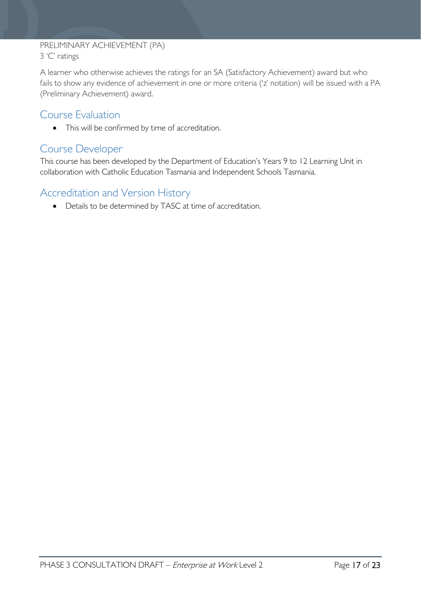### PRELIMINARY ACHIEVEMENT (PA) 3 'C' ratings

A learner who otherwise achieves the ratings for an SA (Satisfactory Achievement) award but who fails to show any evidence of achievement in one or more criteria ('z' notation) will be issued with a PA (Preliminary Achievement) award.

## <span id="page-16-0"></span>Course Evaluation

• This will be confirmed by time of accreditation.

### <span id="page-16-1"></span>Course Developer

This course has been developed by the Department of Education's Years 9 to 12 Learning Unit in collaboration with Catholic Education Tasmania and Independent Schools Tasmania.

# <span id="page-16-2"></span>Accreditation and Version History

• Details to be determined by TASC at time of accreditation.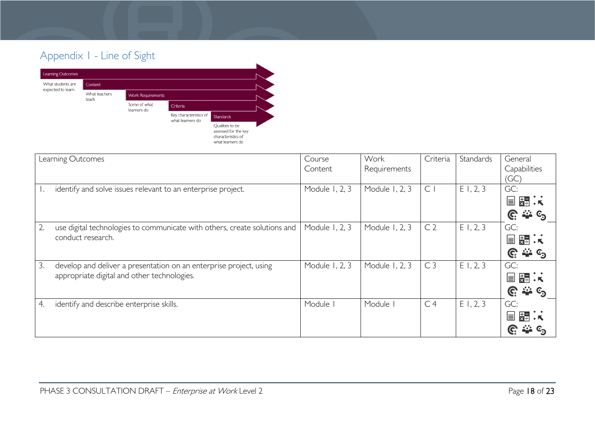# Appendix 1 - Line of Sight



<span id="page-17-0"></span>

| Learning Outcomes                                                               | Course         | Work           | Criteria       | Standards | General         |
|---------------------------------------------------------------------------------|----------------|----------------|----------------|-----------|-----------------|
|                                                                                 | Content        | Requirements   |                |           | Capabilities    |
|                                                                                 |                |                |                |           | (GC)            |
| identify and solve issues relevant to an enterprise project.                    | Module 1, 2, 3 | Module 1, 2, 3 | $\mathsf{C}$   | E1, 2, 3  | GC:             |
|                                                                                 |                |                |                |           | 開味<br>E         |
|                                                                                 |                |                |                |           | ే లే<br>G.      |
| 2.<br>use digital technologies to communicate with others, create solutions and | Module 1, 2, 3 | Module 1, 2, 3 | C <sub>2</sub> | E1, 2, 3  | GC:             |
| conduct research.                                                               |                |                |                |           | 关:★<br>E        |
|                                                                                 |                |                |                |           | ే అ<br>G.       |
| 3.<br>develop and deliver a presentation on an enterprise project, using        | Module 1, 2, 3 | Module 1, 2, 3 | C <sub>3</sub> | E1, 2, 3  | GC:             |
| appropriate digital and other technologies.                                     |                |                |                |           | 关系<br>E         |
|                                                                                 |                |                |                |           | ఈ ⊙<br><u>କ</u> |
| identify and describe enterprise skills.<br>4.                                  | Module I       | Module         | C <sub>4</sub> | E1, 2, 3  | GC:             |
|                                                                                 |                |                |                |           | 景点<br>⊫         |
|                                                                                 |                |                |                |           |                 |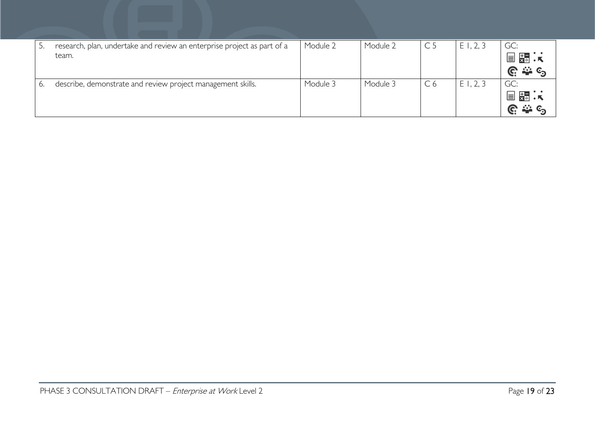|    | research, plan, undertake and review an enterprise project as part of a<br>team. | Module 2 | Module 2 | C <sub>5</sub> | E1, 2, 3 | GC:<br>■ 第 :<br>$\triangleq$ $\epsilon$<br>Ĝ.       |
|----|----------------------------------------------------------------------------------|----------|----------|----------------|----------|-----------------------------------------------------|
| 6. | describe, demonstrate and review project management skills.                      | Module 3 | Module 3 | C <sub>6</sub> | E1, 2, 3 | GC:<br>冒關法<br>$\frac{1}{2}$ $C_{\mathcal{D}}$<br>G. |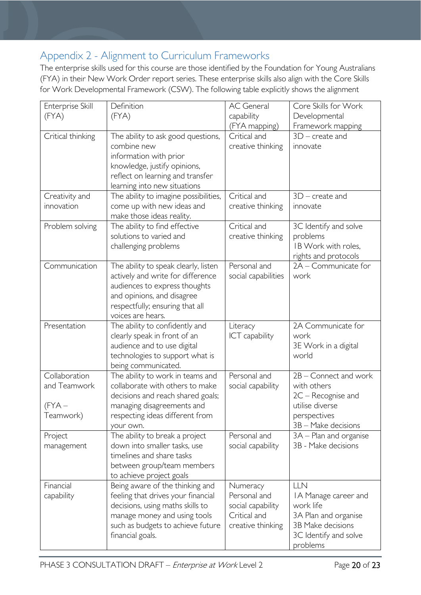# <span id="page-19-0"></span>Appendix 2 - Alignment to Curriculum Frameworks

The enterprise skills used for this course are those identified by the Foundation for Young Australians (FYA) in their New Work Order report series. These enterprise skills also align with the Core Skills for Work Developmental Framework (CSW). The following table explicitly shows the alignment

| Enterprise Skill                                     | Definition                                                                                                                                                                                         | <b>AC</b> General                                                                  | Core Skills for Work                                                                                                       |
|------------------------------------------------------|----------------------------------------------------------------------------------------------------------------------------------------------------------------------------------------------------|------------------------------------------------------------------------------------|----------------------------------------------------------------------------------------------------------------------------|
| (FYA)                                                | (FYA)                                                                                                                                                                                              | capability<br>(FYA mapping)                                                        | Developmental<br>Framework mapping                                                                                         |
| Critical thinking                                    | The ability to ask good questions,<br>combine new<br>information with prior<br>knowledge, justify opinions,<br>reflect on learning and transfer<br>learning into new situations                    | Critical and<br>creative thinking                                                  | $3D$ – create and<br>innovate                                                                                              |
| Creativity and<br>innovation                         | The ability to imagine possibilities,<br>come up with new ideas and                                                                                                                                | Critical and<br>creative thinking                                                  | $3D$ – create and<br>innovate                                                                                              |
| Problem solving                                      | make those ideas reality.<br>The ability to find effective<br>solutions to varied and<br>challenging problems                                                                                      | Critical and<br>creative thinking                                                  | 3C Identify and solve<br>problems<br>IB Work with roles,<br>rights and protocols                                           |
| Communication                                        | The ability to speak clearly, listen<br>actively and write for difference<br>audiences to express thoughts<br>and opinions, and disagree<br>respectfully; ensuring that all<br>voices are hears.   | Personal and<br>social capabilities                                                | 2A - Communicate for<br>work                                                                                               |
| Presentation                                         | The ability to confidently and<br>clearly speak in front of an<br>audience and to use digital<br>technologies to support what is<br>being communicated.                                            | Literacy<br>ICT capability                                                         | 2A Communicate for<br>work<br>3E Work in a digital<br>world                                                                |
| Collaboration<br>and Teamwork<br>(FYA –<br>Teamwork) | The ability to work in teams and<br>collaborate with others to make<br>decisions and reach shared goals;<br>managing disagreements and<br>respecting ideas different from<br>your own.             | Personal and<br>social capability                                                  | 2B - Connect and work<br>with others<br>$2C -$ Recognise and<br>utilise diverse<br>perspectives<br>3B - Make decisions     |
| Project<br>management                                | The ability to break a project<br>down into smaller tasks, use<br>timelines and share tasks<br>between group/team members<br>to achieve project goals                                              | Personal and<br>social capability                                                  | 3A – Plan and organise<br>3B - Make decisions                                                                              |
| Financial<br>capability                              | Being aware of the thinking and<br>feeling that drives your financial<br>decisions, using maths skills to<br>manage money and using tools<br>such as budgets to achieve future<br>financial goals. | Numeracy<br>Personal and<br>social capability<br>Critical and<br>creative thinking | LLN<br>IA Manage career and<br>work life<br>3A Plan and organise<br>3B Make decisions<br>3C Identify and solve<br>problems |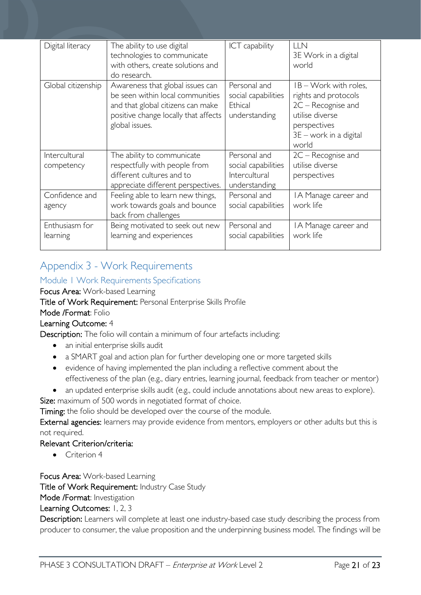| Digital literacy   | The ability to use digital<br>technologies to communicate<br>with others, create solutions and<br>do research.                                                      | <b>ICT</b> capability                                           | LLN<br>3E Work in a digital<br>world                                                                                                          |
|--------------------|---------------------------------------------------------------------------------------------------------------------------------------------------------------------|-----------------------------------------------------------------|-----------------------------------------------------------------------------------------------------------------------------------------------|
| Global citizenship | Awareness that global issues can<br>be seen within local communities<br>and that global citizens can make<br>positive change locally that affects<br>global issues. | Personal and<br>social capabilities<br>Ethical<br>understanding | $IB - Work$ with roles,<br>rights and protocols<br>$2C -$ Recognise and<br>utilise diverse<br>perspectives<br>3E - work in a digital<br>world |
| Intercultural      | The ability to communicate                                                                                                                                          | Personal and                                                    | $2C -$ Recognise and                                                                                                                          |
| competency         | respectfully with people from                                                                                                                                       | social capabilities                                             | utilise diverse                                                                                                                               |
|                    | different cultures and to<br>appreciate different perspectives.                                                                                                     | Intercultural<br>understanding                                  | perspectives                                                                                                                                  |
| Confidence and     | Feeling able to learn new things,                                                                                                                                   | Personal and                                                    | IA Manage career and                                                                                                                          |
| agency             | work towards goals and bounce                                                                                                                                       | social capabilities                                             | work life                                                                                                                                     |
|                    | back from challenges                                                                                                                                                |                                                                 |                                                                                                                                               |
| Enthusiasm for     | Being motivated to seek out new                                                                                                                                     | Personal and                                                    | IA Manage career and                                                                                                                          |
| learning           | learning and experiences                                                                                                                                            | social capabilities                                             | work life                                                                                                                                     |
|                    |                                                                                                                                                                     |                                                                 |                                                                                                                                               |

# <span id="page-20-0"></span>Appendix 3 - Work Requirements

### <span id="page-20-1"></span>Module 1 Work Requirements Specifications

Focus Area: Work-based Learning

Title of Work Requirement: Personal Enterprise Skills Profile

### Mode /Format: Folio

### Learning Outcome: 4

Description: The folio will contain a minimum of four artefacts including:

- an initial enterprise skills audit
- a SMART goal and action plan for further developing one or more targeted skills
- evidence of having implemented the plan including a reflective comment about the effectiveness of the plan (e.g., diary entries, learning journal, feedback from teacher or mentor)
- an updated enterprise skills audit (e.g., could include annotations about new areas to explore).

Size: maximum of 500 words in negotiated format of choice.

Timing: the folio should be developed over the course of the module.

External agencies: learners may provide evidence from mentors, employers or other adults but this is not required.

#### Relevant Criterion/criteria:

• Criterion 4

Focus Area: Work-based Learning

Title of Work Requirement: Industry Case Study

Mode /Format: Investigation

Learning Outcomes: 1, 2, 3

Description: Learners will complete at least one industry-based case study describing the process from producer to consumer, the value proposition and the underpinning business model. The findings will be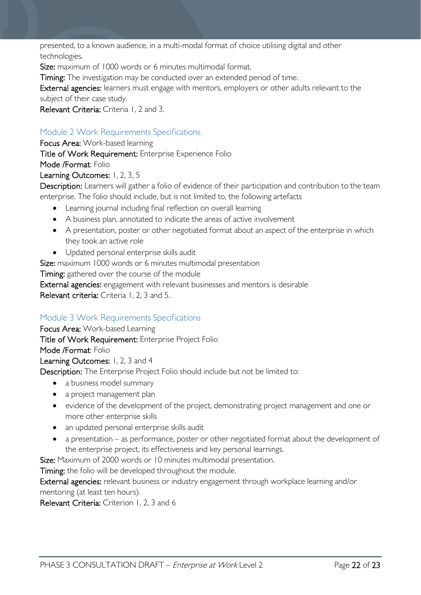presented, to a known audience, in a multi-modal format of choice utilising digital and other technologies.

Size: maximum of 1000 words or 6 minutes multimodal format.

Timing: The investigation may be conducted over an extended period of time.

External agencies: learners must engage with mentors, employers or other adults relevant to the subject of their case study.

Relevant Criteria: Criteria 1, 2 and 3.

### <span id="page-21-0"></span>Module 2 Work Requirements Specifications

Focus Area: Work-based learning

Title of Work Requirement: Enterprise Experience Folio

Mode /Format: Folio

### Learning Outcomes: 1, 2, 3, 5

Description: Learners will gather a folio of evidence of their participation and contribution to the team enterprise. The folio should include, but is not limited to, the following artefacts

- Learning journal including final reflection on overall learning
- A business plan, annotated to indicate the areas of active involvement
- A presentation, poster or other negotiated format about an aspect of the enterprise in which they took an active role
- Updated personal enterprise skills audit

Size: maximum 1000 words or 6 minutes multimodal presentation

Timing: gathered over the course of the module

External agencies: engagement with relevant businesses and mentors is desirable

Relevant criteria: Criteria 1, 2, 3 and 5.

### <span id="page-21-1"></span>Module 3 Work Requirements Specifications

Focus Area: Work-based Learning Title of Work Requirement: Enterprise Project Folio Mode /Format: Folio Learning Outcomes: 1, 2, 3 and 4

Description: The Enterprise Project Folio should include but not be limited to:

- a business model summary
- a project management plan
- evidence of the development of the project, demonstrating project management and one or more other enterprise skills
- an updated personal enterprise skills audit
- a presentation as performance, poster or other negotiated format about the development of the enterprise project, its effectiveness and key personal learnings.

Size: Maximum of 2000 words or 10 minutes multimodal presentation.

Timing: the folio will be developed throughout the module.

External agencies: relevant business or industry engagement through workplace learning and/or mentoring (at least ten hours).

Relevant Criteria: Criterion 1, 2, 3 and 6